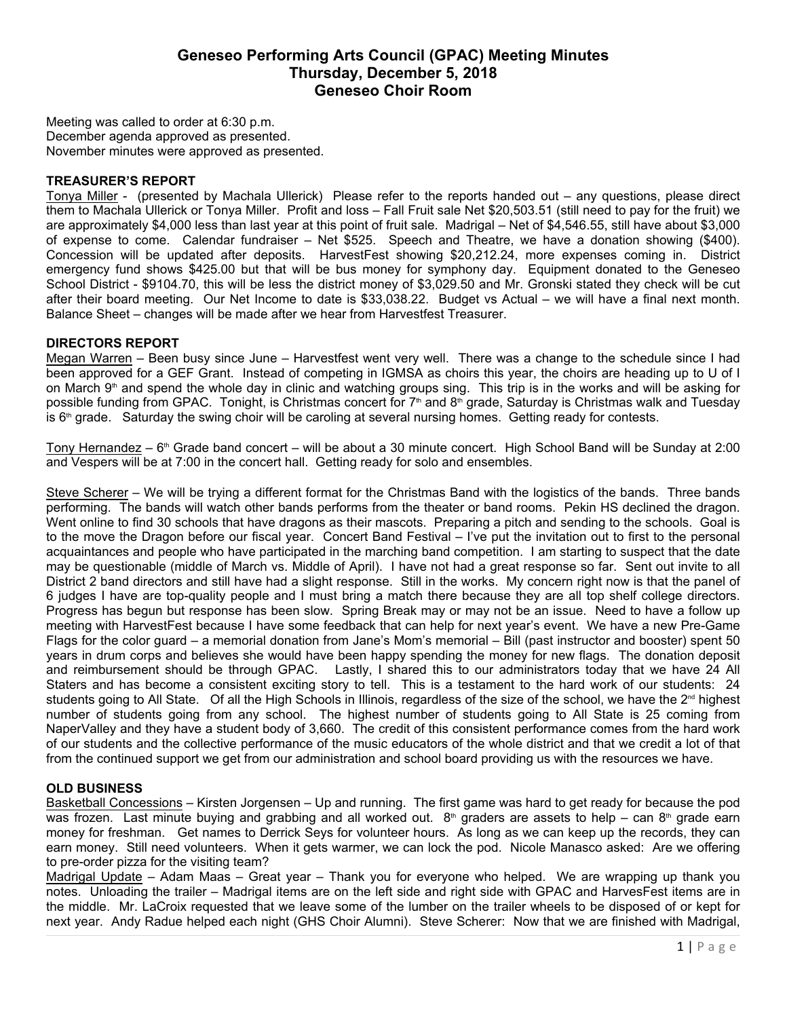# **Geneseo Performing Arts Council (GPAC) Meeting Minutes Thursday, December 5, 2018 Geneseo Choir Room**

Meeting was called to order at 6:30 p.m. December agenda approved as presented. November minutes were approved as presented.

#### **TREASURER'S REPORT**

Tonya Miller - (presented by Machala Ullerick) Please refer to the reports handed out – any questions, please direct them to Machala Ullerick or Tonya Miller. Profit and loss – Fall Fruit sale Net \$20,503.51 (still need to pay for the fruit) we are approximately \$4,000 less than last year at this point of fruit sale. Madrigal – Net of \$4,546.55, still have about \$3,000 of expense to come. Calendar fundraiser – Net \$525. Speech and Theatre, we have a donation showing (\$400). Concession will be updated after deposits. HarvestFest showing \$20,212.24, more expenses coming in. District emergency fund shows \$425.00 but that will be bus money for symphony day. Equipment donated to the Geneseo School District - \$9104.70, this will be less the district money of \$3,029.50 and Mr. Gronski stated they check will be cut after their board meeting. Our Net Income to date is \$33,038.22. Budget vs Actual – we will have a final next month. Balance Sheet – changes will be made after we hear from Harvestfest Treasurer.

#### **DIRECTORS REPORT**

Megan Warren – Been busy since June – Harvestfest went very well. There was a change to the schedule since I had been approved for a GEF Grant. Instead of competing in IGMSA as choirs this year, the choirs are heading up to U of I on March 9<sup>th</sup> and spend the whole day in clinic and watching groups sing. This trip is in the works and will be asking for possible funding from GPAC. Tonight, is Christmas concert for  $7<sup>th</sup>$  and  $8<sup>th</sup>$  grade, Saturday is Christmas walk and Tuesday is  $6<sup>th</sup>$  grade. Saturday the swing choir will be caroling at several nursing homes. Getting ready for contests.

Tony Hernandez – 6<sup>th</sup> Grade band concert – will be about a 30 minute concert. High School Band will be Sunday at 2:00 and Vespers will be at 7:00 in the concert hall. Getting ready for solo and ensembles.

Steve Scherer – We will be trying a different format for the Christmas Band with the logistics of the bands. Three bands performing. The bands will watch other bands performs from the theater or band rooms. Pekin HS declined the dragon. Went online to find 30 schools that have dragons as their mascots. Preparing a pitch and sending to the schools. Goal is to the move the Dragon before our fiscal year. Concert Band Festival – I've put the invitation out to first to the personal acquaintances and people who have participated in the marching band competition. I am starting to suspect that the date may be questionable (middle of March vs. Middle of April). I have not had a great response so far. Sent out invite to all District 2 band directors and still have had a slight response. Still in the works. My concern right now is that the panel of 6 judges I have are top-quality people and I must bring a match there because they are all top shelf college directors. Progress has begun but response has been slow. Spring Break may or may not be an issue. Need to have a follow up meeting with HarvestFest because I have some feedback that can help for next year's event. We have a new Pre-Game Flags for the color guard – a memorial donation from Jane's Mom's memorial – Bill (past instructor and booster) spent 50 years in drum corps and believes she would have been happy spending the money for new flags. The donation deposit and reimbursement should be through GPAC. Lastly, I shared this to our administrators today that we have 24 All Staters and has become a consistent exciting story to tell. This is a testament to the hard work of our students: 24 students going to All State. Of all the High Schools in Illinois, regardless of the size of the school, we have the  $2<sup>nd</sup>$  highest number of students going from any school. The highest number of students going to All State is 25 coming from NaperValley and they have a student body of 3,660. The credit of this consistent performance comes from the hard work of our students and the collective performance of the music educators of the whole district and that we credit a lot of that from the continued support we get from our administration and school board providing us with the resources we have.

### **OLD BUSINESS**

Basketball Concessions – Kirsten Jorgensen – Up and running. The first game was hard to get ready for because the pod was frozen. Last minute buying and grabbing and all worked out.  $8<sup>th</sup>$  graders are assets to help – can  $8<sup>th</sup>$  grade earn money for freshman. Get names to Derrick Seys for volunteer hours. As long as we can keep up the records, they can earn money. Still need volunteers. When it gets warmer, we can lock the pod. Nicole Manasco asked: Are we offering to pre-order pizza for the visiting team?

Madrigal Update – Adam Maas – Great year – Thank you for everyone who helped. We are wrapping up thank you notes. Unloading the trailer – Madrigal items are on the left side and right side with GPAC and HarvesFest items are in the middle. Mr. LaCroix requested that we leave some of the lumber on the trailer wheels to be disposed of or kept for next year. Andy Radue helped each night (GHS Choir Alumni). Steve Scherer: Now that we are finished with Madrigal,